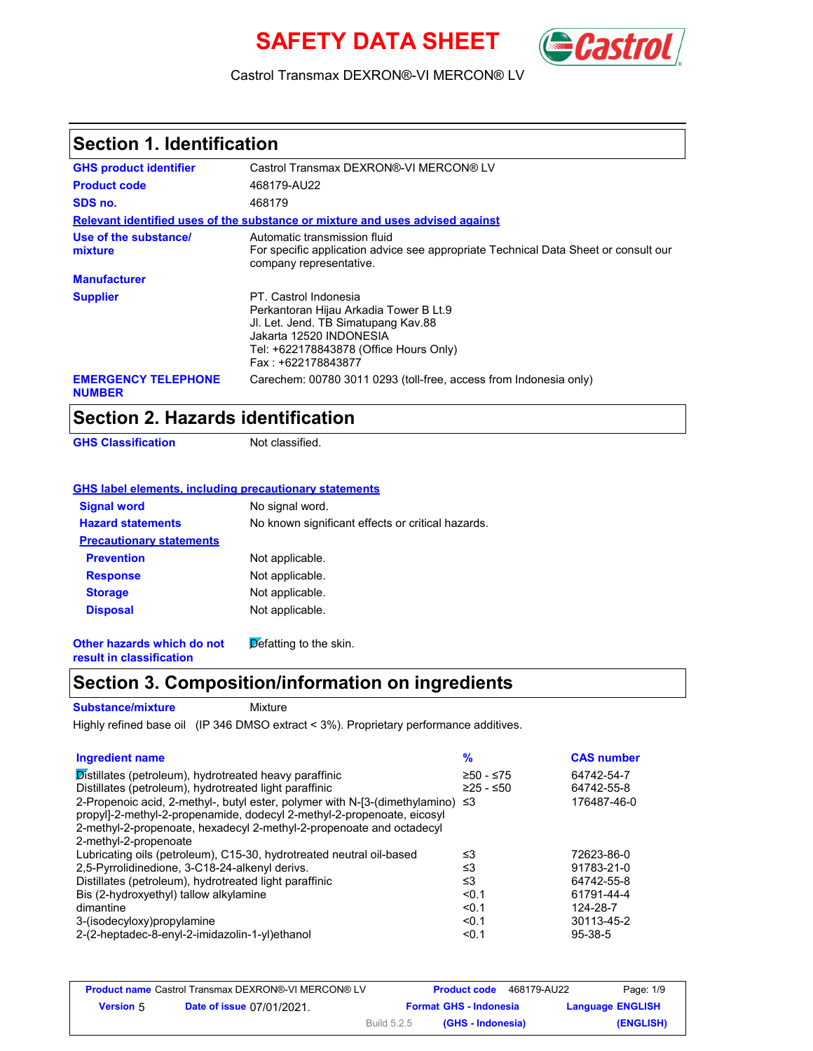# **SAFETY DATA SHEET** (Cast



#### Castrol Transmax DEXRON®-VI MERCON® LV

# **Section 1. Identification**

| <b>GHS product identifier</b>               | Castrol Transmax DEXRON®-VI MERCON® LV                                                                                                                                                            |
|---------------------------------------------|---------------------------------------------------------------------------------------------------------------------------------------------------------------------------------------------------|
| <b>Product code</b>                         | 468179-AU22                                                                                                                                                                                       |
| SDS no.                                     | 468179                                                                                                                                                                                            |
|                                             | Relevant identified uses of the substance or mixture and uses advised against                                                                                                                     |
| Use of the substance/<br>mixture            | Automatic transmission fluid<br>For specific application advice see appropriate Technical Data Sheet or consult our<br>company representative.                                                    |
| <b>Manufacturer</b>                         |                                                                                                                                                                                                   |
| <b>Supplier</b>                             | PT. Castrol Indonesia<br>Perkantoran Hijau Arkadia Tower B Lt.9<br>JI. Let. Jend. TB Simatupang Kav.88<br>Jakarta 12520 INDONESIA<br>Tel: +622178843878 (Office Hours Only)<br>Fax: +622178843877 |
| <b>EMERGENCY TELEPHONE</b><br><b>NUMBER</b> | Carechem: 00780 3011 0293 (toll-free, access from Indonesia only)                                                                                                                                 |

### **Section 2. Hazards identification**

**GHS Classification** Not classified.

#### **GHS label elements, including precautionary statements**

| <b>Signal word</b>              | No signal word.                                   |
|---------------------------------|---------------------------------------------------|
| <b>Hazard statements</b>        | No known significant effects or critical hazards. |
| <b>Precautionary statements</b> |                                                   |
| <b>Prevention</b>               | Not applicable.                                   |
| <b>Response</b>                 | Not applicable.                                   |
| <b>Storage</b>                  | Not applicable.                                   |
| <b>Disposal</b>                 | Not applicable.                                   |
|                                 |                                                   |

**Other hazards which do not result in classification**  $\cancel{\text{Def}}$ atting to the skin.

# **Section 3. Composition/information on ingredients**

**Substance/mixture**

Mixture

Highly refined base oil (IP 346 DMSO extract < 3%). Proprietary performance additives.

| <b>Ingredient name</b>                                                               | $\frac{9}{6}$ | <b>CAS number</b> |
|--------------------------------------------------------------------------------------|---------------|-------------------|
| Distillates (petroleum), hydrotreated heavy paraffinic                               | $≥50 - ≤75$   | 64742-54-7        |
| Distillates (petroleum), hydrotreated light paraffinic                               | $≥25 - ≤50$   | 64742-55-8        |
| 2-Propenoic acid, 2-methyl-, butyl ester, polymer with N-[3-(dimethylamino) $\leq 3$ |               | 176487-46-0       |
| propyl]-2-methyl-2-propenamide, dodecyl 2-methyl-2-propenoate, eicosyl               |               |                   |
| 2-methyl-2-propenoate, hexadecyl 2-methyl-2-propenoate and octadecyl                 |               |                   |
| 2-methyl-2-propenoate                                                                |               |                   |
| Lubricating oils (petroleum), C15-30, hydrotreated neutral oil-based                 | ≤3            | 72623-86-0        |
| 2,5-Pyrrolidinedione, 3-C18-24-alkenyl derivs.                                       | ≤3            | 91783-21-0        |
| Distillates (petroleum), hydrotreated light paraffinic                               | ≤3            | 64742-55-8        |
| Bis (2-hydroxyethyl) tallow alkylamine                                               | < 0.1         | 61791-44-4        |
| dimantine                                                                            | < 0.1         | 124-28-7          |
| 3-(isodecyloxy)propylamine                                                           | < 0.1         | 30113-45-2        |
| 2-(2-heptadec-8-enyl-2-imidazolin-1-yl)ethanol                                       | < 0.1         | $95 - 38 - 5$     |

| <b>Product name</b> Castrol Transmax DEXRON®-VI MERCON® LV |                                 |             | 468179-AU22<br><b>Product code</b> | Page: 1/9               |
|------------------------------------------------------------|---------------------------------|-------------|------------------------------------|-------------------------|
| <b>Version 5</b>                                           | <b>Date of issue 07/01/2021</b> |             | <b>Format GHS - Indonesia</b>      | <b>Language ENGLISH</b> |
|                                                            |                                 | Build 5.2.5 | (GHS - Indonesia)                  | (ENGLISH)               |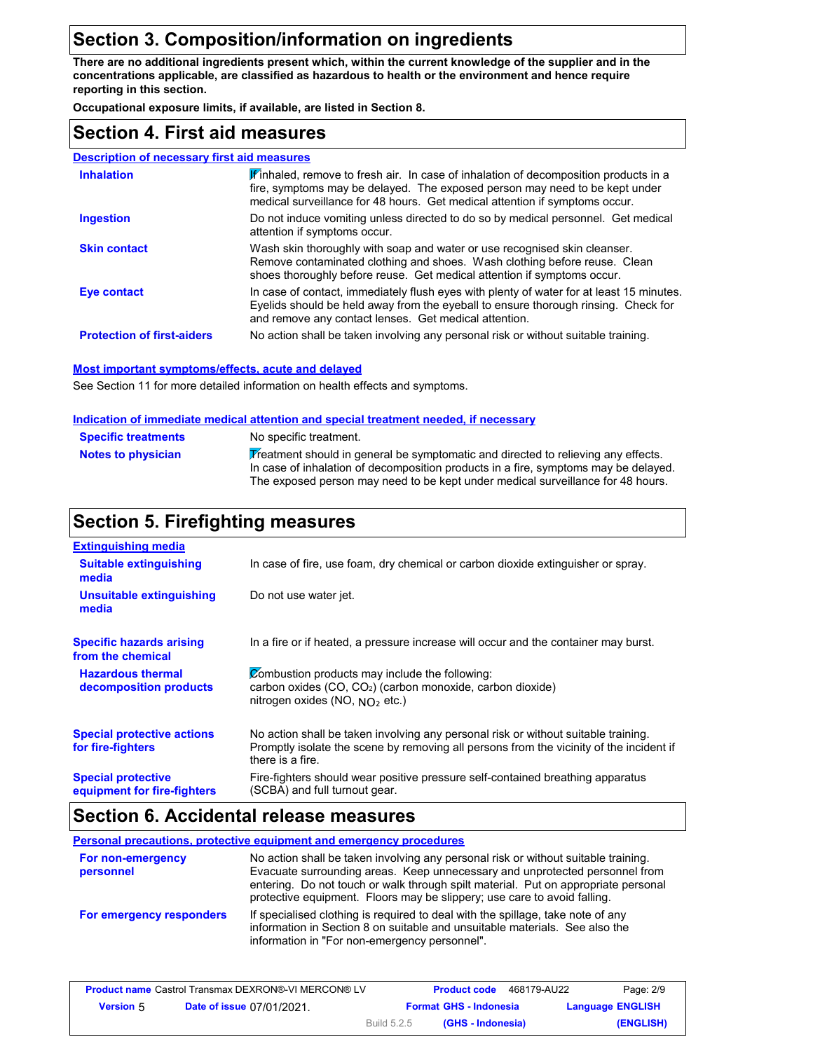# **Section 3. Composition/information on ingredients**

**There are no additional ingredients present which, within the current knowledge of the supplier and in the concentrations applicable, are classified as hazardous to health or the environment and hence require reporting in this section.**

**Occupational exposure limits, if available, are listed in Section 8.**

### **Section 4. First aid measures**

| <b>Description of necessary first aid measures</b> |                                                                                                                                                                                                                                                               |
|----------------------------------------------------|---------------------------------------------------------------------------------------------------------------------------------------------------------------------------------------------------------------------------------------------------------------|
| <b>Inhalation</b>                                  | $\mathbf{F}$ inhaled, remove to fresh air. In case of inhalation of decomposition products in a<br>fire, symptoms may be delayed. The exposed person may need to be kept under<br>medical surveillance for 48 hours. Get medical attention if symptoms occur. |
| <b>Ingestion</b>                                   | Do not induce vomiting unless directed to do so by medical personnel. Get medical<br>attention if symptoms occur.                                                                                                                                             |
| <b>Skin contact</b>                                | Wash skin thoroughly with soap and water or use recognised skin cleanser.<br>Remove contaminated clothing and shoes. Wash clothing before reuse. Clean<br>shoes thoroughly before reuse. Get medical attention if symptoms occur.                             |
| Eye contact                                        | In case of contact, immediately flush eyes with plenty of water for at least 15 minutes.<br>Eyelids should be held away from the eyeball to ensure thorough rinsing. Check for<br>and remove any contact lenses. Get medical attention.                       |
| <b>Protection of first-aiders</b>                  | No action shall be taken involving any personal risk or without suitable training.                                                                                                                                                                            |

#### **Most important symptoms/effects, acute and delayed**

See Section 11 for more detailed information on health effects and symptoms.

#### **Indication of immediate medical attention and special treatment needed, if necessary**

| <b>Specific treatments</b> | No specific treatment.                                                              |
|----------------------------|-------------------------------------------------------------------------------------|
| Notes to physician         | Treatment should in general be symptomatic and directed to relieving any effects.   |
|                            | In case of inhalation of decomposition products in a fire, symptoms may be delayed. |
|                            | The exposed person may need to be kept under medical surveillance for 48 hours.     |

# **Section 5. Firefighting measures**

| <b>Extinguishing media</b>                               |                                                                                                                                                                                                   |
|----------------------------------------------------------|---------------------------------------------------------------------------------------------------------------------------------------------------------------------------------------------------|
| <b>Suitable extinguishing</b><br>media                   | In case of fire, use foam, dry chemical or carbon dioxide extinguisher or spray.                                                                                                                  |
| Unsuitable extinguishing<br>media                        | Do not use water jet.                                                                                                                                                                             |
| <b>Specific hazards arising</b><br>from the chemical     | In a fire or if heated, a pressure increase will occur and the container may burst.                                                                                                               |
| <b>Hazardous thermal</b><br>decomposition products       | Combustion products may include the following:<br>carbon oxides (CO, CO <sub>2</sub> ) (carbon monoxide, carbon dioxide)<br>nitrogen oxides (NO, $NO2$ etc.)                                      |
| <b>Special protective actions</b><br>for fire-fighters   | No action shall be taken involving any personal risk or without suitable training.<br>Promptly isolate the scene by removing all persons from the vicinity of the incident if<br>there is a fire. |
| <b>Special protective</b><br>equipment for fire-fighters | Fire-fighters should wear positive pressure self-contained breathing apparatus<br>(SCBA) and full turnout gear.                                                                                   |

## **Section 6. Accidental release measures**

**Personal precautions, protective equipment and emergency procedures**

| For non-emergency<br>personnel | No action shall be taken involving any personal risk or without suitable training.<br>Evacuate surrounding areas. Keep unnecessary and unprotected personnel from<br>entering. Do not touch or walk through spilt material. Put on appropriate personal<br>protective equipment. Floors may be slippery; use care to avoid falling. |
|--------------------------------|-------------------------------------------------------------------------------------------------------------------------------------------------------------------------------------------------------------------------------------------------------------------------------------------------------------------------------------|
| For emergency responders       | If specialised clothing is required to deal with the spillage, take note of any<br>information in Section 8 on suitable and unsuitable materials. See also the<br>information in "For non-emergency personnel".                                                                                                                     |

| <b>Product name Castrol Transmax DEXRON®-VI MERCON® LV</b> |                                  |             | <b>Product code</b>           | 468179-AU22 | Page: 2/9               |
|------------------------------------------------------------|----------------------------------|-------------|-------------------------------|-------------|-------------------------|
| <b>Version</b> 5                                           | <b>Date of issue 07/01/2021.</b> |             | <b>Format GHS - Indonesia</b> |             | <b>Language ENGLISH</b> |
|                                                            |                                  | Build 5.2.5 | (GHS - Indonesia)             |             | (ENGLISH)               |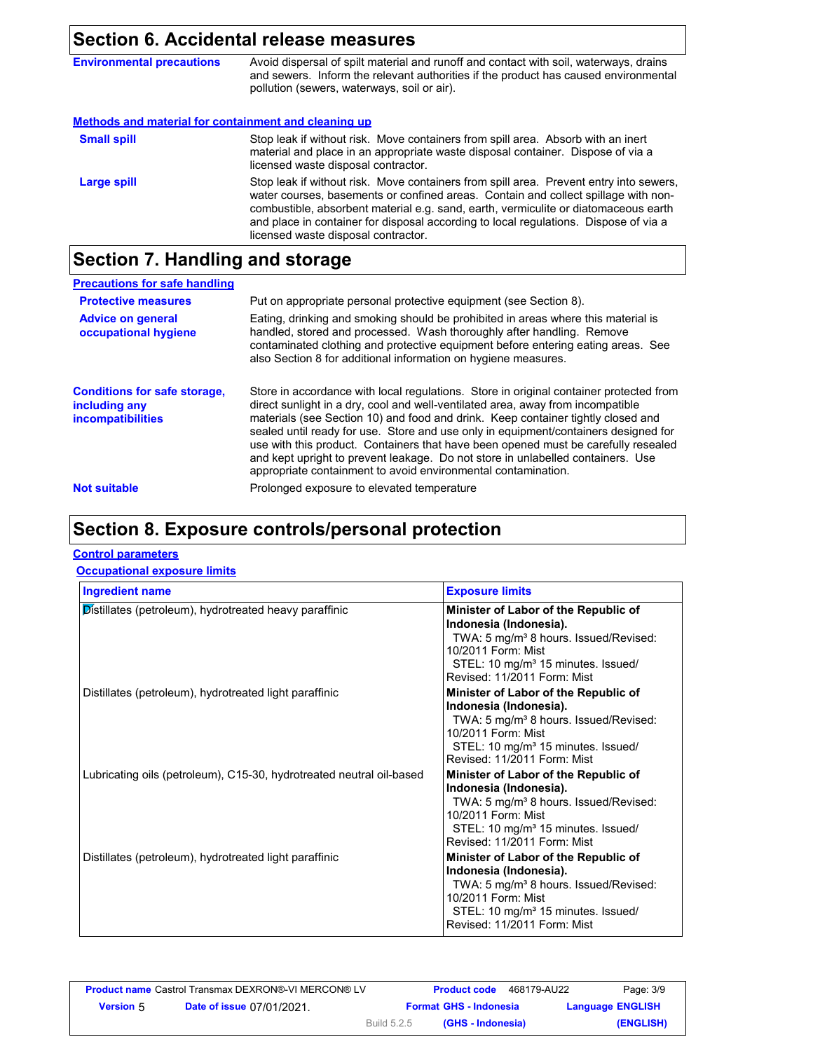### **Section 6. Accidental release measures**

| <b>Environmental precautions</b>                     | Avoid dispersal of spilt material and runoff and contact with soil, waterways, drains<br>and sewers. Inform the relevant authorities if the product has caused environmental<br>pollution (sewers, waterways, soil or air).                                                                                                                                                                        |
|------------------------------------------------------|----------------------------------------------------------------------------------------------------------------------------------------------------------------------------------------------------------------------------------------------------------------------------------------------------------------------------------------------------------------------------------------------------|
| Methods and material for containment and cleaning up |                                                                                                                                                                                                                                                                                                                                                                                                    |
| <b>Small spill</b>                                   | Stop leak if without risk. Move containers from spill area. Absorb with an inert<br>material and place in an appropriate waste disposal container. Dispose of via a<br>licensed waste disposal contractor.                                                                                                                                                                                         |
| <b>Large spill</b>                                   | Stop leak if without risk. Move containers from spill area. Prevent entry into sewers,<br>water courses, basements or confined areas. Contain and collect spillage with non-<br>combustible, absorbent material e.g. sand, earth, vermiculite or diatomaceous earth<br>and place in container for disposal according to local regulations. Dispose of via a<br>licensed waste disposal contractor. |

# **Section 7. Handling and storage**

#### **Precautions for safe handling Advice on general occupational hygiene Conditions for safe storage, including any incompatibilities** Eating, drinking and smoking should be prohibited in areas where this material is handled, stored and processed. Wash thoroughly after handling. Remove contaminated clothing and protective equipment before entering eating areas. See also Section 8 for additional information on hygiene measures. Store in accordance with local regulations. Store in original container protected from direct sunlight in a dry, cool and well-ventilated area, away from incompatible materials (see Section 10) and food and drink. Keep container tightly closed and sealed until ready for use. Store and use only in equipment/containers designed for use with this product. Containers that have been opened must be carefully resealed and kept upright to prevent leakage. Do not store in unlabelled containers. Use appropriate containment to avoid environmental contamination. **Protective measures** Put on appropriate personal protective equipment (see Section 8). **Not suitable Not suitable** Prolonged exposure to elevated temperature

# **Section 8. Exposure controls/personal protection**

#### **Control parameters**

#### **Occupational exposure limits**

| <b>Ingredient name</b>                                               | <b>Exposure limits</b>                                                                                                                                                                                                     |
|----------------------------------------------------------------------|----------------------------------------------------------------------------------------------------------------------------------------------------------------------------------------------------------------------------|
| Distillates (petroleum), hydrotreated heavy paraffinic               | Minister of Labor of the Republic of<br>Indonesia (Indonesia).<br>TWA: 5 mg/m <sup>3</sup> 8 hours. Issued/Revised:<br>10/2011 Form: Mist<br>STEL: 10 mg/m <sup>3</sup> 15 minutes. Issued/<br>Revised: 11/2011 Form: Mist |
| Distillates (petroleum), hydrotreated light paraffinic               | Minister of Labor of the Republic of<br>Indonesia (Indonesia).<br>TWA: 5 mg/m <sup>3</sup> 8 hours. Issued/Revised:<br>10/2011 Form: Mist<br>STEL: 10 mg/m <sup>3</sup> 15 minutes. Issued/<br>Revised: 11/2011 Form: Mist |
| Lubricating oils (petroleum), C15-30, hydrotreated neutral oil-based | Minister of Labor of the Republic of<br>Indonesia (Indonesia).<br>TWA: 5 mg/m <sup>3</sup> 8 hours. Issued/Revised:<br>10/2011 Form: Mist<br>STEL: 10 mg/m <sup>3</sup> 15 minutes. Issued/<br>Revised: 11/2011 Form: Mist |
| Distillates (petroleum), hydrotreated light paraffinic               | Minister of Labor of the Republic of<br>Indonesia (Indonesia).<br>TWA: 5 mg/m <sup>3</sup> 8 hours. Issued/Revised:<br>10/2011 Form: Mist<br>STEL: 10 mg/m <sup>3</sup> 15 minutes. Issued/<br>Revised: 11/2011 Form: Mist |

| <b>Product name</b> Castrol Transmax DEXRON®-VI MERCON® LV |                                  |                    | <b>Product code</b>           | 468179-AU22             | Page: 3/9 |
|------------------------------------------------------------|----------------------------------|--------------------|-------------------------------|-------------------------|-----------|
| <b>Version</b> 5                                           | <b>Date of issue 07/01/2021.</b> |                    | <b>Format GHS - Indonesia</b> | <b>Language ENGLISH</b> |           |
|                                                            |                                  | <b>Build 5.2.5</b> | (GHS - Indonesia)             |                         | (ENGLISH) |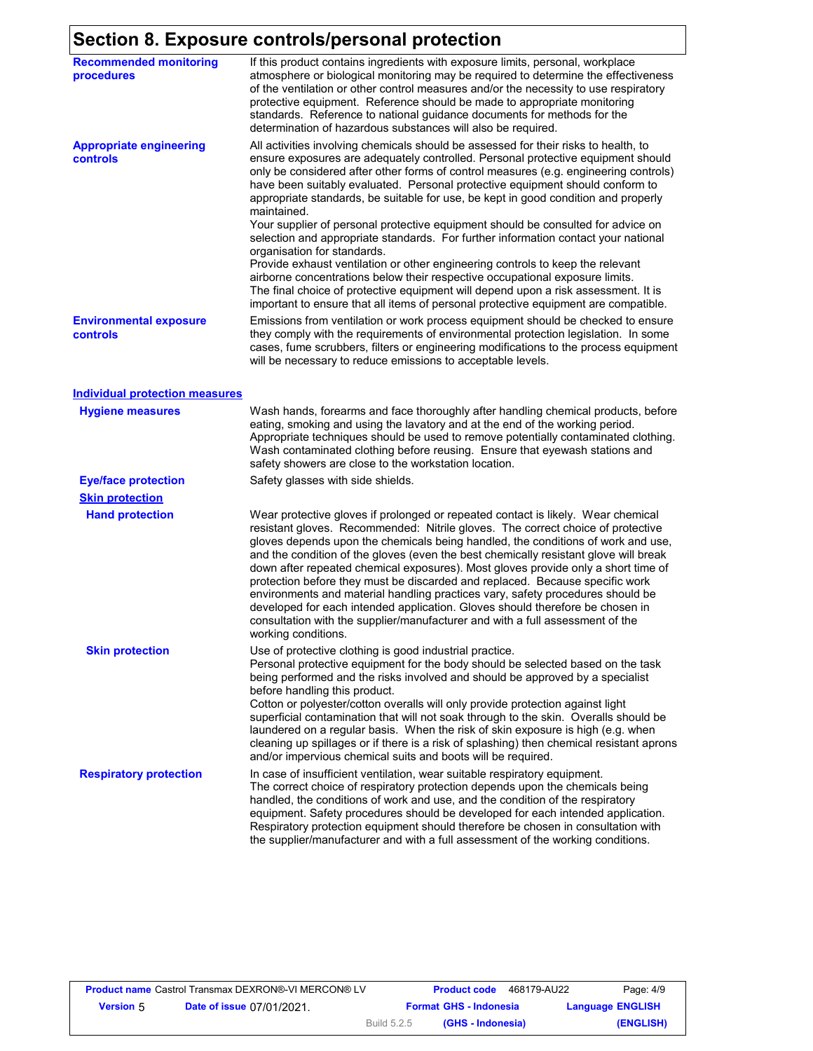# **Section 8. Exposure controls/personal protection**

| $\cdots$ $\sim$ $\sim$ $\sim$               | sars sona sio porsonar protocite                                                                                                                                                                                                                                                                                                                                                                                                                                                                                                                                                                                                                                                                                                                                                                                                 |
|---------------------------------------------|----------------------------------------------------------------------------------------------------------------------------------------------------------------------------------------------------------------------------------------------------------------------------------------------------------------------------------------------------------------------------------------------------------------------------------------------------------------------------------------------------------------------------------------------------------------------------------------------------------------------------------------------------------------------------------------------------------------------------------------------------------------------------------------------------------------------------------|
| <b>Recommended monitoring</b><br>procedures | If this product contains ingredients with exposure limits, personal, workplace<br>atmosphere or biological monitoring may be required to determine the effectiveness<br>of the ventilation or other control measures and/or the necessity to use respiratory<br>protective equipment. Reference should be made to appropriate monitoring<br>standards. Reference to national guidance documents for methods for the<br>determination of hazardous substances will also be required.                                                                                                                                                                                                                                                                                                                                              |
| <b>Appropriate engineering</b><br>controls  | All activities involving chemicals should be assessed for their risks to health, to<br>ensure exposures are adequately controlled. Personal protective equipment should<br>only be considered after other forms of control measures (e.g. engineering controls)<br>have been suitably evaluated. Personal protective equipment should conform to<br>appropriate standards, be suitable for use, be kept in good condition and properly<br>maintained.<br>Your supplier of personal protective equipment should be consulted for advice on<br>selection and appropriate standards. For further information contact your national<br>organisation for standards.<br>Provide exhaust ventilation or other engineering controls to keep the relevant<br>airborne concentrations below their respective occupational exposure limits. |
|                                             | The final choice of protective equipment will depend upon a risk assessment. It is<br>important to ensure that all items of personal protective equipment are compatible.                                                                                                                                                                                                                                                                                                                                                                                                                                                                                                                                                                                                                                                        |
| <b>Environmental exposure</b><br>controls   | Emissions from ventilation or work process equipment should be checked to ensure<br>they comply with the requirements of environmental protection legislation. In some<br>cases, fume scrubbers, filters or engineering modifications to the process equipment<br>will be necessary to reduce emissions to acceptable levels.                                                                                                                                                                                                                                                                                                                                                                                                                                                                                                    |
| <b>Individual protection measures</b>       |                                                                                                                                                                                                                                                                                                                                                                                                                                                                                                                                                                                                                                                                                                                                                                                                                                  |
| <b>Hygiene measures</b>                     | Wash hands, forearms and face thoroughly after handling chemical products, before<br>eating, smoking and using the lavatory and at the end of the working period.<br>Appropriate techniques should be used to remove potentially contaminated clothing.<br>Wash contaminated clothing before reusing. Ensure that eyewash stations and<br>safety showers are close to the workstation location.                                                                                                                                                                                                                                                                                                                                                                                                                                  |
| <b>Eye/face protection</b>                  | Safety glasses with side shields.                                                                                                                                                                                                                                                                                                                                                                                                                                                                                                                                                                                                                                                                                                                                                                                                |
| <b>Skin protection</b>                      |                                                                                                                                                                                                                                                                                                                                                                                                                                                                                                                                                                                                                                                                                                                                                                                                                                  |
| <b>Hand protection</b>                      | Wear protective gloves if prolonged or repeated contact is likely. Wear chemical<br>resistant gloves. Recommended: Nitrile gloves. The correct choice of protective<br>gloves depends upon the chemicals being handled, the conditions of work and use,<br>and the condition of the gloves (even the best chemically resistant glove will break<br>down after repeated chemical exposures). Most gloves provide only a short time of<br>protection before they must be discarded and replaced. Because specific work<br>environments and material handling practices vary, safety procedures should be<br>developed for each intended application. Gloves should therefore be chosen in<br>consultation with the supplier/manufacturer and with a full assessment of the<br>working conditions.                                  |
| <b>Skin protection</b>                      | Use of protective clothing is good industrial practice.<br>Personal protective equipment for the body should be selected based on the task<br>being performed and the risks involved and should be approved by a specialist<br>before handling this product.<br>Cotton or polyester/cotton overalls will only provide protection against light<br>superficial contamination that will not soak through to the skin. Overalls should be<br>laundered on a regular basis. When the risk of skin exposure is high (e.g. when<br>cleaning up spillages or if there is a risk of splashing) then chemical resistant aprons<br>and/or impervious chemical suits and boots will be required.                                                                                                                                            |
| <b>Respiratory protection</b>               | In case of insufficient ventilation, wear suitable respiratory equipment.<br>The correct choice of respiratory protection depends upon the chemicals being<br>handled, the conditions of work and use, and the condition of the respiratory<br>equipment. Safety procedures should be developed for each intended application.<br>Respiratory protection equipment should therefore be chosen in consultation with<br>the supplier/manufacturer and with a full assessment of the working conditions.                                                                                                                                                                                                                                                                                                                            |

| <b>Product name Castrol Transmax DEXRON®-VI MERCON® LV</b> |                                  |             | <b>Product code</b>           | 468179-AU22 | Page: 4/9               |
|------------------------------------------------------------|----------------------------------|-------------|-------------------------------|-------------|-------------------------|
| <b>Version 5</b>                                           | <b>Date of issue 07/01/2021.</b> |             | <b>Format GHS - Indonesia</b> |             | <b>Language ENGLISH</b> |
|                                                            |                                  | Build 5.2.5 | (GHS - Indonesia)             |             | (ENGLISH)               |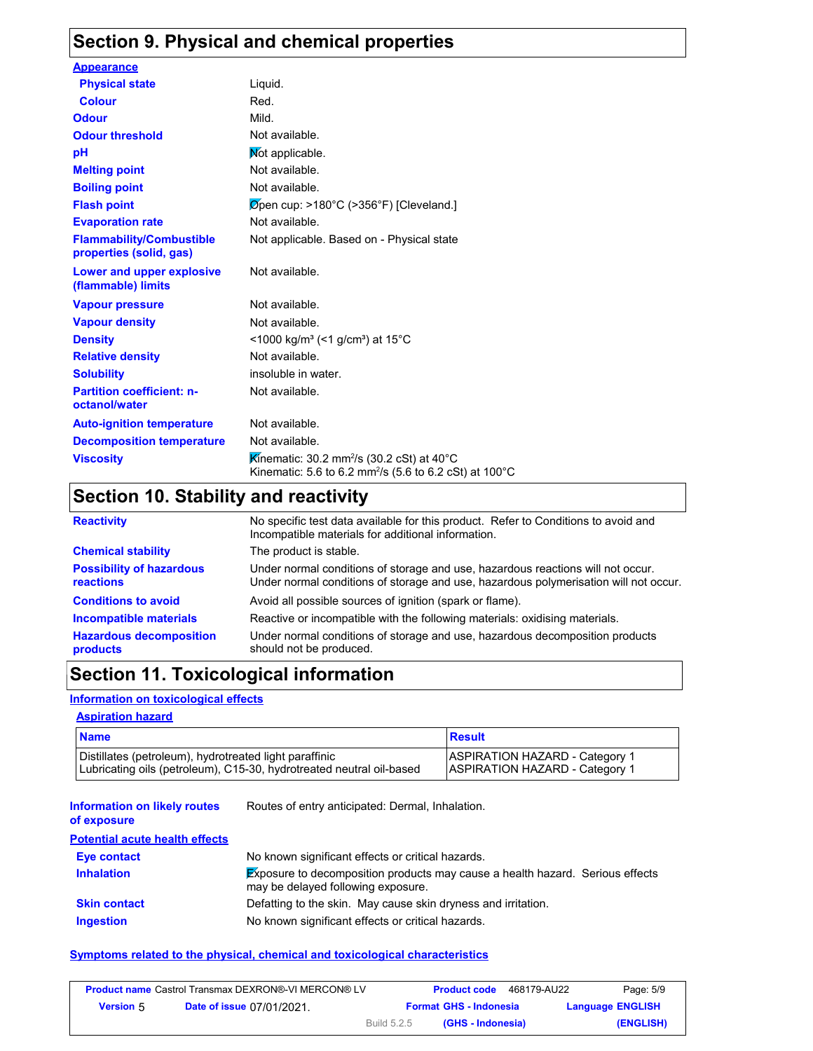# **Section 9. Physical and chemical properties**

| <b>Appearance</b>                                          |                                                                                                                                         |
|------------------------------------------------------------|-----------------------------------------------------------------------------------------------------------------------------------------|
| <b>Physical state</b>                                      | Liquid.                                                                                                                                 |
| <b>Colour</b>                                              | Red.                                                                                                                                    |
| <b>Odour</b>                                               | Mild.                                                                                                                                   |
| <b>Odour threshold</b>                                     | Not available.                                                                                                                          |
| pH                                                         | Mot applicable.                                                                                                                         |
| <b>Melting point</b>                                       | Not available.                                                                                                                          |
| <b>Boiling point</b>                                       | Not available.                                                                                                                          |
| <b>Flash point</b>                                         | $\varnothing$ pen cup: >180°C (>356°F) [Cleveland.]                                                                                     |
| <b>Evaporation rate</b>                                    | Not available.                                                                                                                          |
| <b>Flammability/Combustible</b><br>properties (solid, gas) | Not applicable. Based on - Physical state                                                                                               |
| Lower and upper explosive<br>(flammable) limits            | Not available.                                                                                                                          |
| <b>Vapour pressure</b>                                     | Not available.                                                                                                                          |
| <b>Vapour density</b>                                      | Not available.                                                                                                                          |
| <b>Density</b>                                             | $\leq$ 1000 kg/m <sup>3</sup> (<1 g/cm <sup>3</sup> ) at 15 <sup>°</sup> C                                                              |
| <b>Relative density</b>                                    | Not available.                                                                                                                          |
| <b>Solubility</b>                                          | insoluble in water.                                                                                                                     |
| <b>Partition coefficient: n-</b><br>octanol/water          | Not available.                                                                                                                          |
| <b>Auto-ignition temperature</b>                           | Not available.                                                                                                                          |
| <b>Decomposition temperature</b>                           | Not available.                                                                                                                          |
| <b>Viscosity</b>                                           | Kinematic: 30.2 mm <sup>2</sup> /s (30.2 cSt) at 40 $^{\circ}$ C<br>Kinematic: 5.6 to 6.2 mm <sup>2</sup> /s (5.6 to 6.2 cSt) at 100 °C |

# **Section 10. Stability and reactivity**

| <b>Reactivity</b>                                   | No specific test data available for this product. Refer to Conditions to avoid and<br>Incompatible materials for additional information.                                |  |  |
|-----------------------------------------------------|-------------------------------------------------------------------------------------------------------------------------------------------------------------------------|--|--|
| <b>Chemical stability</b>                           | The product is stable.                                                                                                                                                  |  |  |
| <b>Possibility of hazardous</b><br><b>reactions</b> | Under normal conditions of storage and use, hazardous reactions will not occur.<br>Under normal conditions of storage and use, hazardous polymerisation will not occur. |  |  |
| <b>Conditions to avoid</b>                          | Avoid all possible sources of ignition (spark or flame).                                                                                                                |  |  |
| <b>Incompatible materials</b>                       | Reactive or incompatible with the following materials: oxidising materials.                                                                                             |  |  |
| <b>Hazardous decomposition</b><br>products          | Under normal conditions of storage and use, hazardous decomposition products<br>should not be produced.                                                                 |  |  |

# **Section 11. Toxicological information**

#### **Information on toxicological effects**

#### **Aspiration hazard**

| <b>Name</b>                                                          | Result                                |
|----------------------------------------------------------------------|---------------------------------------|
| Distillates (petroleum), hydrotreated light paraffinic               | <b>ASPIRATION HAZARD - Category 1</b> |
| Lubricating oils (petroleum), C15-30, hydrotreated neutral oil-based | <b>ASPIRATION HAZARD - Category 1</b> |

| <b>Information on likely routes</b><br>of exposure | Routes of entry anticipated: Dermal, Inhalation.                                                                           |
|----------------------------------------------------|----------------------------------------------------------------------------------------------------------------------------|
| <b>Potential acute health effects</b>              |                                                                                                                            |
| Eye contact                                        | No known significant effects or critical hazards.                                                                          |
| <b>Inhalation</b>                                  | <b>Exposure to decomposition products may cause a health hazard. Serious effects</b><br>may be delayed following exposure. |
| <b>Skin contact</b>                                | Defatting to the skin. May cause skin dryness and irritation.                                                              |
| <b>Ingestion</b>                                   | No known significant effects or critical hazards.                                                                          |

#### **Symptoms related to the physical, chemical and toxicological characteristics**

|                  | <b>Product name Castrol Transmax DEXRON®-VI MERCON® LV</b> |                    | <b>Product code</b>           | 468179-AU22 | Page: 5/9               |
|------------------|------------------------------------------------------------|--------------------|-------------------------------|-------------|-------------------------|
| <b>Version 5</b> | <b>Date of issue 07/01/2021</b>                            |                    | <b>Format GHS - Indonesia</b> |             | <b>Language ENGLISH</b> |
|                  |                                                            | <b>Build 5.2.5</b> | (GHS - Indonesia)             |             | (ENGLISH)               |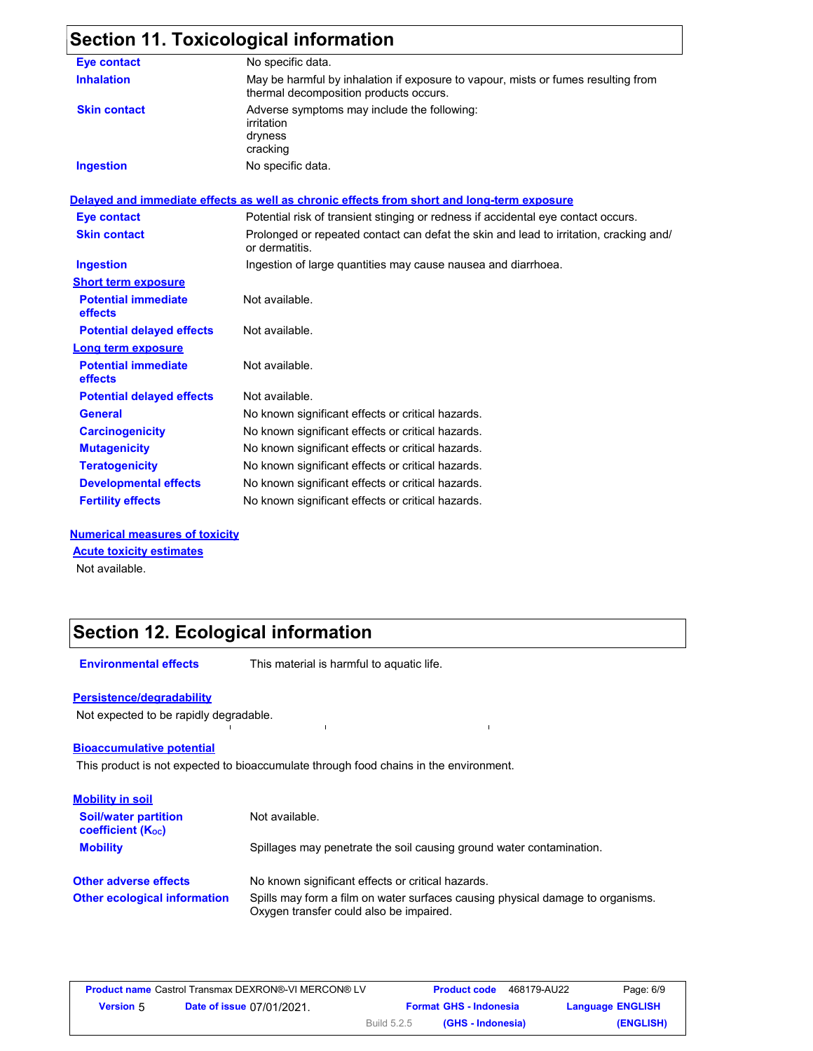# **Section 11. Toxicological information**

| <b>Eye contact</b>                    | No specific data.                                                                                                           |  |
|---------------------------------------|-----------------------------------------------------------------------------------------------------------------------------|--|
| <b>Inhalation</b>                     | May be harmful by inhalation if exposure to vapour, mists or fumes resulting from<br>thermal decomposition products occurs. |  |
| <b>Skin contact</b>                   | Adverse symptoms may include the following:<br>irritation<br>dryness<br>cracking                                            |  |
| <b>Ingestion</b>                      | No specific data.                                                                                                           |  |
|                                       | Delayed and immediate effects as well as chronic effects from short and long-term exposure                                  |  |
| <b>Eye contact</b>                    | Potential risk of transient stinging or redness if accidental eye contact occurs.                                           |  |
| <b>Skin contact</b>                   | Prolonged or repeated contact can defat the skin and lead to irritation, cracking and/<br>or dermatitis.                    |  |
| <b>Ingestion</b>                      | Ingestion of large quantities may cause nausea and diarrhoea.                                                               |  |
| <b>Short term exposure</b>            |                                                                                                                             |  |
| <b>Potential immediate</b><br>effects | Not available.                                                                                                              |  |
| <b>Potential delayed effects</b>      | Not available.                                                                                                              |  |
| Long term exposure                    |                                                                                                                             |  |
| <b>Potential immediate</b><br>effects | Not available.                                                                                                              |  |
| <b>Potential delayed effects</b>      | Not available.                                                                                                              |  |
| <b>General</b>                        | No known significant effects or critical hazards.                                                                           |  |
| <b>Carcinogenicity</b>                | No known significant effects or critical hazards.                                                                           |  |
| <b>Mutagenicity</b>                   | No known significant effects or critical hazards.                                                                           |  |
| <b>Teratogenicity</b>                 | No known significant effects or critical hazards.                                                                           |  |
| <b>Developmental effects</b>          | No known significant effects or critical hazards.                                                                           |  |
| <b>Fertility effects</b>              | No known significant effects or critical hazards.                                                                           |  |
|                                       |                                                                                                                             |  |

**Numerical measures of toxicity** Not available. **Acute toxicity estimates**

# **Section 12. Ecological information**

**Environmental effects** This material is harmful to aquatic life.

 $\mathbf{r}$ 

#### **Persistence/degradability**

Not expected to be rapidly degradable.

#### **Bioaccumulative potential**

This product is not expected to bioaccumulate through food chains in the environment.

| <b>Mobility in soil</b>                                 |                                                                                                                           |
|---------------------------------------------------------|---------------------------------------------------------------------------------------------------------------------------|
| <b>Soil/water partition</b><br><b>coefficient (Koc)</b> | Not available.                                                                                                            |
| <b>Mobility</b>                                         | Spillages may penetrate the soil causing ground water contamination.                                                      |
| <b>Other adverse effects</b>                            | No known significant effects or critical hazards.                                                                         |
| <b>Other ecological information</b>                     | Spills may form a film on water surfaces causing physical damage to organisms.<br>Oxygen transfer could also be impaired. |

 $\mathbf{r}$ 

|                  | <b>Product name</b> Castrol Transmax DEXRON®-VI MERCON® LV |             | <b>Product code</b>           | 468179-AU22 | Page: 6/9               |
|------------------|------------------------------------------------------------|-------------|-------------------------------|-------------|-------------------------|
| <b>Version 5</b> | <b>Date of issue 07/01/2021.</b>                           |             | <b>Format GHS - Indonesia</b> |             | <b>Language ENGLISH</b> |
|                  |                                                            | Build 5.2.5 | (GHS - Indonesia)             |             | (ENGLISH)               |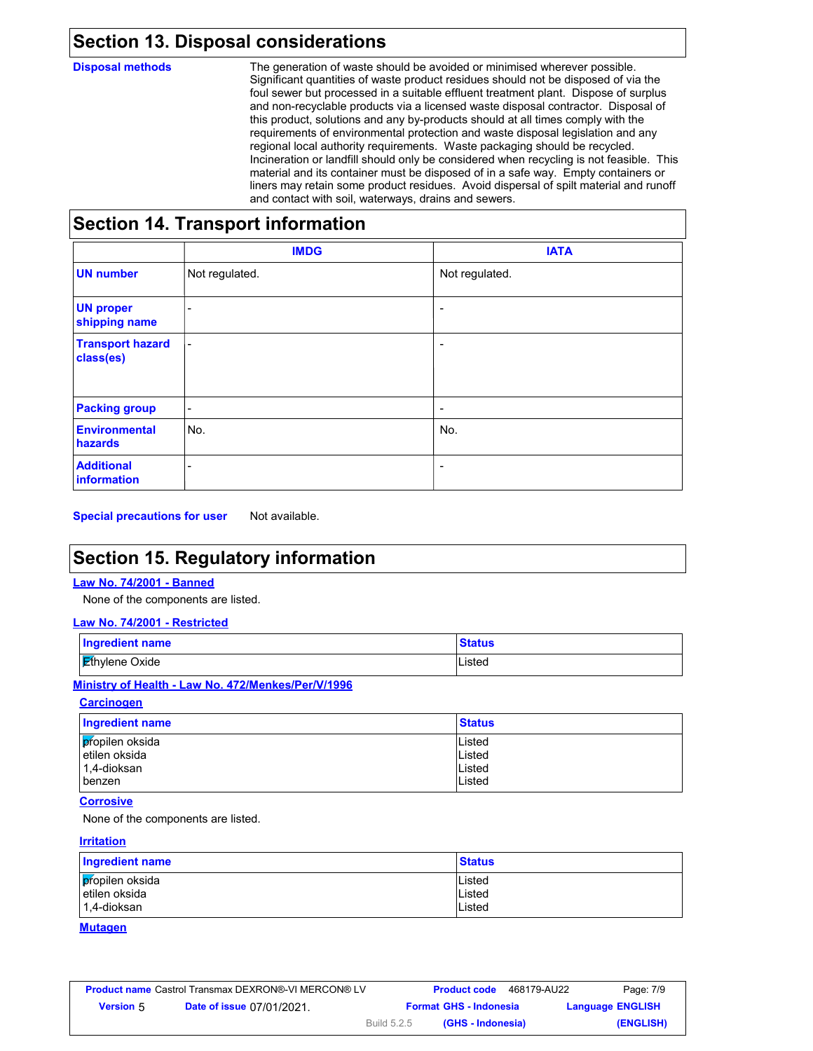### **Section 13. Disposal considerations**

**Disposal methods** The generation of waste should be avoided or minimised wherever possible. Significant quantities of waste product residues should not be disposed of via the foul sewer but processed in a suitable effluent treatment plant. Dispose of surplus and non-recyclable products via a licensed waste disposal contractor. Disposal of this product, solutions and any by-products should at all times comply with the requirements of environmental protection and waste disposal legislation and any regional local authority requirements. Waste packaging should be recycled. Incineration or landfill should only be considered when recycling is not feasible. This material and its container must be disposed of in a safe way. Empty containers or liners may retain some product residues. Avoid dispersal of spilt material and runoff and contact with soil, waterways, drains and sewers.

### **Section 14. Transport information**

|                                        | <b>IMDG</b>              | <b>IATA</b>              |
|----------------------------------------|--------------------------|--------------------------|
| <b>UN number</b>                       | Not regulated.           | Not regulated.           |
| <b>UN proper</b><br>shipping name      | $\overline{\phantom{a}}$ | $\overline{\phantom{a}}$ |
| <b>Transport hazard</b><br>class(es)   | $\overline{\phantom{a}}$ | -                        |
| <b>Packing group</b>                   | $\overline{\phantom{a}}$ | $\overline{\phantom{a}}$ |
| <b>Environmental</b><br><b>hazards</b> | No.                      | No.                      |
| <b>Additional</b><br>information       | ۰.                       | ۰                        |

**Special precautions for user** Not available.

# **Section 15. Regulatory information**

#### **Law No. 74/2001 - Banned**

None of the components are listed.

#### **Law No. 74/2001 - Restricted**

| Ingredient name       | <b>Status</b> |
|-----------------------|---------------|
| <b>Ethylene Oxide</b> | Listed        |

#### **Ministry of Health - Law No. 472/Menkes/Per/V/1996**

**Carcinogen**

| Ingredient name | <b>Status</b> |
|-----------------|---------------|
| propilen oksida | Listed        |
| etilen oksida   | Listed        |
| 1,4-dioksan     | Listed        |
| benzen          | Listed        |

#### **Corrosive**

None of the components are listed.

#### **Irritation**

| Ingredient name | <b>Status</b> |
|-----------------|---------------|
| propilen oksida | Listed        |
| l etilen oksida | Listed        |
| l 1.4-dioksan   | Listed        |

#### **Mutagen**

|                  | <b>Product name Castrol Transmax DEXRON®-VI MERCON® LV</b> |             | <b>Product code</b>           | 468179-AU22 | Page: 7/9               |
|------------------|------------------------------------------------------------|-------------|-------------------------------|-------------|-------------------------|
| <b>Version</b> 5 | <b>Date of issue 07/01/2021.</b>                           |             | <b>Format GHS - Indonesia</b> |             | <b>Language ENGLISH</b> |
|                  |                                                            | Build 5.2.5 | (GHS - Indonesia)             |             | (ENGLISH)               |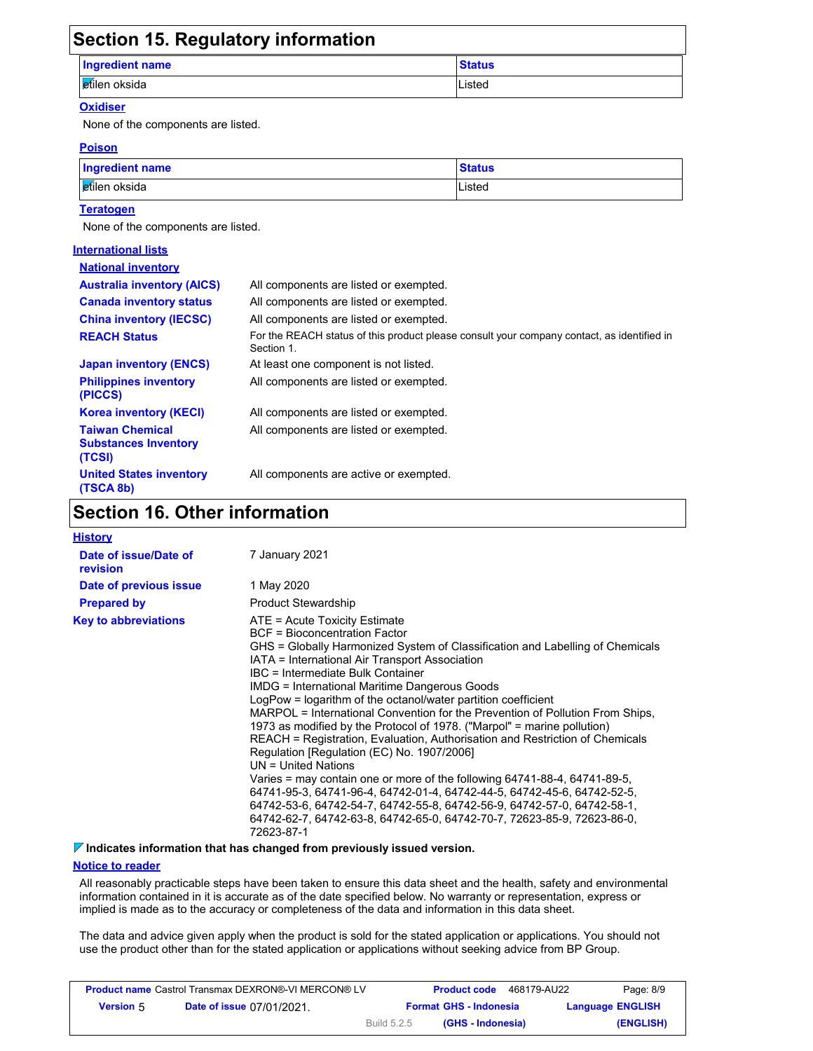| <b>Section 15. Regulatory information</b> |               |
|-------------------------------------------|---------------|
| <b>Ingredient name</b>                    | <b>Status</b> |
| etilen oksida                             | Listed        |
|                                           |               |

#### **Oxidiser**

None of the components are listed.

#### **Poison**

| <b>Ingredient name</b> | <b>Status</b> |
|------------------------|---------------|
| etilen oksida          | Listed        |

#### **Teratogen**

None of the components are listed.

| <b>International lists</b>                                      |                                                                                                          |
|-----------------------------------------------------------------|----------------------------------------------------------------------------------------------------------|
| <b>National inventory</b>                                       |                                                                                                          |
| <b>Australia inventory (AICS)</b>                               | All components are listed or exempted.                                                                   |
| <b>Canada inventory status</b>                                  | All components are listed or exempted.                                                                   |
| <b>China inventory (IECSC)</b>                                  | All components are listed or exempted.                                                                   |
| <b>REACH Status</b>                                             | For the REACH status of this product please consult your company contact, as identified in<br>Section 1. |
| <b>Japan inventory (ENCS)</b>                                   | At least one component is not listed.                                                                    |
| <b>Philippines inventory</b><br>(PICCS)                         | All components are listed or exempted.                                                                   |
| <b>Korea inventory (KECI)</b>                                   | All components are listed or exempted.                                                                   |
| <b>Taiwan Chemical</b><br><b>Substances Inventory</b><br>(TCSI) | All components are listed or exempted.                                                                   |
| <b>United States inventory</b><br>(TSCA 8b)                     | All components are active or exempted.                                                                   |

# **Section 16. Other information**

| <b>History</b> |  |
|----------------|--|
|----------------|--|

| Date of issue/Date of<br>revision | 7 January 2021                                                                                                                                                                                                                                                                                                                                                                                                                                                                                                                                                                                                                                                                                                                                                                                                                                                                                                                                                                                                  |
|-----------------------------------|-----------------------------------------------------------------------------------------------------------------------------------------------------------------------------------------------------------------------------------------------------------------------------------------------------------------------------------------------------------------------------------------------------------------------------------------------------------------------------------------------------------------------------------------------------------------------------------------------------------------------------------------------------------------------------------------------------------------------------------------------------------------------------------------------------------------------------------------------------------------------------------------------------------------------------------------------------------------------------------------------------------------|
| Date of previous issue            | 1 May 2020                                                                                                                                                                                                                                                                                                                                                                                                                                                                                                                                                                                                                                                                                                                                                                                                                                                                                                                                                                                                      |
| <b>Prepared by</b>                | <b>Product Stewardship</b>                                                                                                                                                                                                                                                                                                                                                                                                                                                                                                                                                                                                                                                                                                                                                                                                                                                                                                                                                                                      |
| <b>Key to abbreviations</b>       | $ATE = Acute Toxicity Estimate$<br>BCF = Bioconcentration Factor<br>GHS = Globally Harmonized System of Classification and Labelling of Chemicals<br>IATA = International Air Transport Association<br>IBC = Intermediate Bulk Container<br>IMDG = International Maritime Dangerous Goods<br>LogPow = logarithm of the octanol/water partition coefficient<br>MARPOL = International Convention for the Prevention of Pollution From Ships,<br>1973 as modified by the Protocol of 1978. ("Marpol" = marine pollution)<br>REACH = Registration, Evaluation, Authorisation and Restriction of Chemicals<br>Regulation [Regulation (EC) No. 1907/2006]<br>$UN = United Nations$<br>Varies = may contain one or more of the following $64741-88-4$ , $64741-89-5$ ,<br>64741-95-3, 64741-96-4, 64742-01-4, 64742-44-5, 64742-45-6, 64742-52-5,<br>64742-53-6, 64742-54-7, 64742-55-8, 64742-56-9, 64742-57-0, 64742-58-1,<br>64742-62-7, 64742-63-8, 64742-65-0, 64742-70-7, 72623-85-9, 72623-86-0,<br>72623-87-1 |

#### **Indicates information that has changed from previously issued version.**

#### **Notice to reader**

All reasonably practicable steps have been taken to ensure this data sheet and the health, safety and environmental information contained in it is accurate as of the date specified below. No warranty or representation, express or implied is made as to the accuracy or completeness of the data and information in this data sheet.

The data and advice given apply when the product is sold for the stated application or applications. You should not use the product other than for the stated application or applications without seeking advice from BP Group.

|                  | <b>Product name</b> Castrol Transmax DEXRON®-VI MERCON® LV |             | <b>Product code</b>           | 468179-AU22             | Page: 8/9 |
|------------------|------------------------------------------------------------|-------------|-------------------------------|-------------------------|-----------|
| <b>Version 5</b> | <b>Date of issue 07/01/2021.</b>                           |             | <b>Format GHS - Indonesia</b> | <b>Language ENGLISH</b> |           |
|                  |                                                            | Build 5.2.5 | (GHS - Indonesia)             |                         | (ENGLISH) |